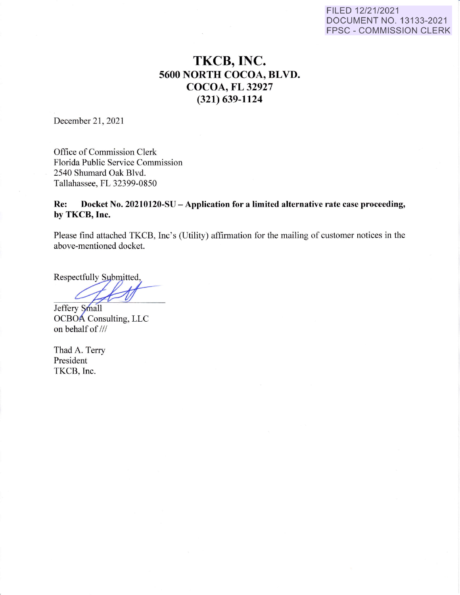#### FILED 12/21/2021 DOCUMENT NO. 13133-2021 FPSC - COMMISSION CLERK

# **TKCB, INC. 5600 NORTH COCOA, BLVD. COCOA, FL 32927 (321) 639-1124**

December 21, 2021

Office of Commission Clerk Florida Public Service Commission 2540 Shumard Oak Blvd. Tallahassee, FL 32399-0850

## **Re: Docket No. 20210120-SU -Application for a limited alternative rate case proceeding, by TKCB, Inc.**

Please find attached TKCB, Inc's (Utility) affirmation for the mailing of customer notices in the above-mentioned docket.

Respectfully Submitted,

Jeffery Small

OCBOA Consulting, LLC on behalf of///

Thad A. Terry President TKCB, Inc.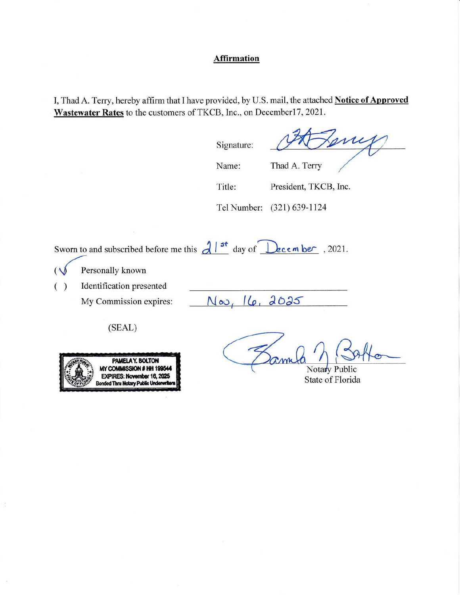## **Affirmation**

I, Thad A. Terry, hereby affirm that I have provided, by U.S. mail, the attached **Notice of Approved**  Wastewater Rates to the customers of TKCB, Inc., on December17, 2021.

Signature:

mi

Name:

Thad A. Terry

Title: President, TKCB, Inc.

Tel Number: (321) 639-1124

Sworn to and subscribed before me this  $d \frac{1}{s^+}$  day of  $\frac{1}{s}$  **bec.** , 2021.

 $(\sqrt{\phantom{a}})$  Personally known

( ) Identification presented

My Commission expires:

 $N_{00}$ , 16, 2025

(SEAL)



Notary Public State of Florida